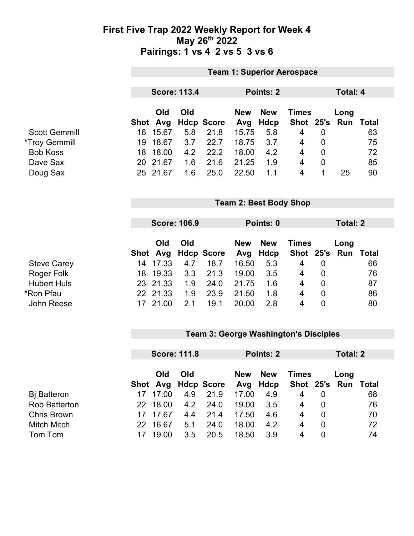#### **First Five Trap 2022 Weekly Report for Week 4 May 26th 2022 Pairings: 1 vs 4 2 vs 5 3 vs 6**

|                                | <b>Team 1: Superior Aerospace</b> |                      |                     |                   |                |             |                |                            |                 |              |
|--------------------------------|-----------------------------------|----------------------|---------------------|-------------------|----------------|-------------|----------------|----------------------------|-----------------|--------------|
|                                |                                   |                      | <b>Score: 113.4</b> |                   |                | Points: 2   |                |                            | <b>Total: 4</b> |              |
|                                |                                   | Old                  | Old                 |                   | <b>New</b>     | <b>New</b>  | <b>Times</b>   |                            | Long            |              |
|                                | Shot                              | Avg                  |                     | <b>Hdcp Score</b> | Avg            | <b>Hdcp</b> | <b>Shot</b>    | 25's                       | Run             | <b>Total</b> |
| <b>Scott Gemmill</b>           | 16                                | 15.67                | 5.8                 | 21.8              | 15.75          | 5.8         | 4              | 0                          |                 | 63           |
| <i><b>*Troy Gemmill</b></i>    | 19                                | 18.67                | 3.7                 | 22.7              | 18.75          | 3.7         | 4              | $\mathbf 0$                |                 | 75           |
| <b>Bob Koss</b>                | 18                                | 18.00                | 4.2                 | 22.2              | 18.00          | 4.2         | 4              | $\overline{0}$             |                 | 72           |
| Dave Sax                       | 20                                | 21.67                | 1.6                 | 21.6              | 21.25          | 1.9         | 4              | $\mathbf 0$                |                 | 85           |
| Doug Sax                       |                                   | 25 21.67             | 1.6                 | 25.0              | 22.50          | 1.1         | 4              | 1                          | 25              | 90           |
|                                |                                   |                      |                     |                   |                |             |                |                            |                 |              |
|                                | <b>Team 2: Best Body Shop</b>     |                      |                     |                   |                |             |                |                            |                 |              |
|                                |                                   |                      |                     |                   |                |             |                |                            |                 |              |
|                                |                                   |                      | <b>Score: 106.9</b> |                   |                | Points: 0   |                |                            | <b>Total: 2</b> |              |
|                                |                                   |                      |                     |                   |                |             |                |                            |                 |              |
|                                |                                   | Old                  | Old                 |                   | <b>New</b>     | <b>New</b>  | <b>Times</b>   |                            | Long            |              |
|                                | Shot                              | Avg                  |                     | <b>Hdcp Score</b> | Avg            | <b>Hdcp</b> | <b>Shot</b>    | 25's                       | <b>Run</b>      | <b>Total</b> |
|                                | 14                                | 17.33                | 4.7                 | 18.7              | 16.50          | 5.3         | 4              | 0                          |                 | 66           |
| <b>Steve Carey</b>             | 18                                | 19.33                | 3.3                 | 21.3              | 19.00          | 3.5         | 4              | $\mathbf 0$                |                 | 76           |
| Roger Folk                     |                                   |                      | 1.9                 |                   |                |             | $\overline{4}$ |                            |                 |              |
| <b>Hubert Huls</b>             |                                   | 23 21.33             |                     | 24.0              | 21.75          | 1.6         |                | $\overline{0}$             |                 | 87           |
| *Ron Pfau<br><b>John Reese</b> |                                   | 22 21.33<br>17 21.00 | 1.9<br>2.1          | 23.9<br>19.1      | 21.50<br>20.00 | 1.8<br>2.8  | 4<br>4         | $\mathbf 0$<br>$\mathbf 0$ |                 | 86<br>80     |

## **Team 3: George Washington's Disciples**

|                      | <b>Score: 111.8</b> |          |     | Points: 2           |            | Total: 2               |                                     |          |      |    |
|----------------------|---------------------|----------|-----|---------------------|------------|------------------------|-------------------------------------|----------|------|----|
|                      |                     | Old      | Old | Shot Avg Hdcp Score | <b>New</b> | <b>New</b><br>Avg Hdcp | <b>Times</b><br>Shot 25's Run Total |          | Long |    |
| <b>B</b> j Batteron  |                     | 17.00    | 4.9 | 21.9                | 17.00      | 4.9                    | 4                                   | 0        |      | 68 |
| <b>Rob Batterton</b> |                     | 22 18.00 | 4.2 | 24.0                | 19.00      | 3.5                    | 4                                   | $\Omega$ |      | 76 |
| <b>Chris Brown</b>   |                     | 17.67    | 4.4 | 21.4                | 17.50      | 4.6                    | 4                                   | 0        |      | 70 |
| <b>Mitch Mitch</b>   |                     | 22 16.67 | 5.1 | 24.0                | 18.00      | 4.2                    | 4                                   | 0        |      | 72 |
| Tom Tom              |                     | 19.00    | 3.5 | 20.5                | 18.50      | 3.9                    | 4                                   | 0        |      | 74 |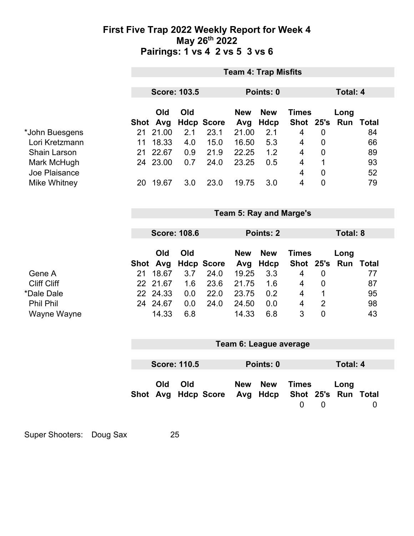## **First Five Trap 2022 Weekly Report for Week 4 May 26th 2022 Pairings: 1 vs 4 2 vs 5 3 vs 6**

|                    |      | <b>Team 4: Trap Misfits</b> |                     |                   |            |             |                                |                |                 |              |
|--------------------|------|-----------------------------|---------------------|-------------------|------------|-------------|--------------------------------|----------------|-----------------|--------------|
|                    |      |                             |                     |                   |            |             |                                |                |                 |              |
|                    |      |                             | <b>Score: 103.5</b> |                   |            | Points: 0   |                                |                | <b>Total: 4</b> |              |
|                    |      |                             |                     |                   |            |             |                                |                |                 |              |
|                    |      | Old                         | Old                 |                   | <b>New</b> | <b>New</b>  | <b>Times</b>                   |                | Long            |              |
|                    | Shot | Avg                         |                     | <b>Hdcp Score</b> | Avg        | <b>Hdcp</b> | <b>Shot</b>                    | 25's           | Run             | <b>Total</b> |
| *John Buesgens     | 21   | 21.00                       | 2.1                 | 23.1              | 21.00      | 2.1         | $\overline{4}$                 | $\mathbf{0}$   |                 | 84           |
| Lori Kretzmann     | 11   | 18.33                       | 4.0                 | 15.0              | 16.50      | 5.3         | 4                              | $\overline{0}$ |                 | 66           |
| Shain Larson       | 21   | 22.67                       | 0.9                 | 21.9              | 22.25      | 1.2         | 4                              | $\mathbf 0$    |                 | 89           |
| Mark McHugh        | 24   | 23.00                       | 0.7                 | 24.0              | 23.25      | 0.5         | 4                              | 1              |                 | 93           |
| Joe Plaisance      |      |                             |                     |                   |            |             | 4                              | $\mathbf 0$    |                 | 52           |
| Mike Whitney       | 20   | 19.67                       | 3.0                 | 23.0              | 19.75      | 3.0         | 4                              | $\mathbf 0$    |                 | 79           |
|                    |      |                             |                     |                   |            |             |                                |                |                 |              |
|                    |      |                             |                     |                   |            |             |                                |                |                 |              |
|                    |      |                             |                     |                   |            |             | <b>Team 5: Ray and Marge's</b> |                |                 |              |
|                    |      |                             |                     |                   |            |             |                                |                |                 |              |
|                    |      |                             | <b>Score: 108.6</b> |                   |            | Points: 2   |                                |                | <b>Total: 8</b> |              |
|                    |      |                             |                     |                   |            |             |                                |                |                 |              |
|                    |      | Old                         | Old                 |                   | <b>New</b> | <b>New</b>  | <b>Times</b>                   |                | Long            |              |
|                    | Shot | Avg                         |                     | <b>Hdcp Score</b> | Avg        | <b>Hdcp</b> | <b>Shot</b>                    | 25's           | <b>Run</b>      | <b>Total</b> |
| Gene A             | 21   | 18.67                       | 3.7                 | 24.0              | 19.25      | 3.3         | $\overline{4}$                 | 0              |                 | 77           |
| <b>Cliff Cliff</b> |      | 22 21.67                    | 1.6                 | 23.6              | 21.75      | 1.6         | 4                              | $\mathbf 0$    |                 | 87           |
| *Dale Dale         |      | 22 24.33                    | 0.0                 | 22.0              | 23.75      | 0.2         | $\overline{4}$                 | 1              |                 | 95           |
| <b>Phil Phil</b>   |      | 24 24.67                    | 0.0                 | 24.0              | 24.50      | 0.0         | 4                              | $\overline{2}$ |                 | 98           |
| Wayne Wayne        |      | 14.33                       | 6.8                 |                   | 14.33      | 6.8         | 3                              | $\overline{0}$ |                 | 43           |
|                    |      |                             |                     |                   |            |             |                                |                |                 |              |
|                    |      |                             |                     |                   |            |             |                                |                |                 |              |

|                                          | Team 6: League average |                   |                                      |
|------------------------------------------|------------------------|-------------------|--------------------------------------|
| <b>Score: 110.5</b>                      | Points: 0              |                   | Total: 4                             |
| Old<br><b>Old</b><br>Shot Avg Hdcp Score | New New                | Times<br>$\Omega$ | Long<br>Avg Hdcp Shot 25's Run Total |

Super Shooters: Doug Sax 25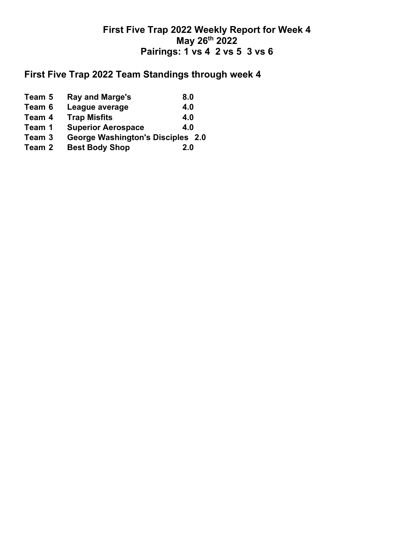# **First Five Trap 2022 Weekly Report for Week 4 May 26th 2022 Pairings: 1 vs 4 2 vs 5 3 vs 6**

# **First Five Trap 2022 Team Standings through week 4**

| Team 5 | <b>Ray and Marge's</b>                   | 8.0 |
|--------|------------------------------------------|-----|
| Team 6 | League average                           | 4.0 |
| Team 4 | <b>Trap Misfits</b>                      | 4.0 |
| Team 1 | <b>Superior Aerospace</b>                | 4.0 |
| Team 3 | <b>George Washington's Disciples 2.0</b> |     |
| Team 2 | <b>Best Body Shop</b>                    | 2.0 |
|        |                                          |     |